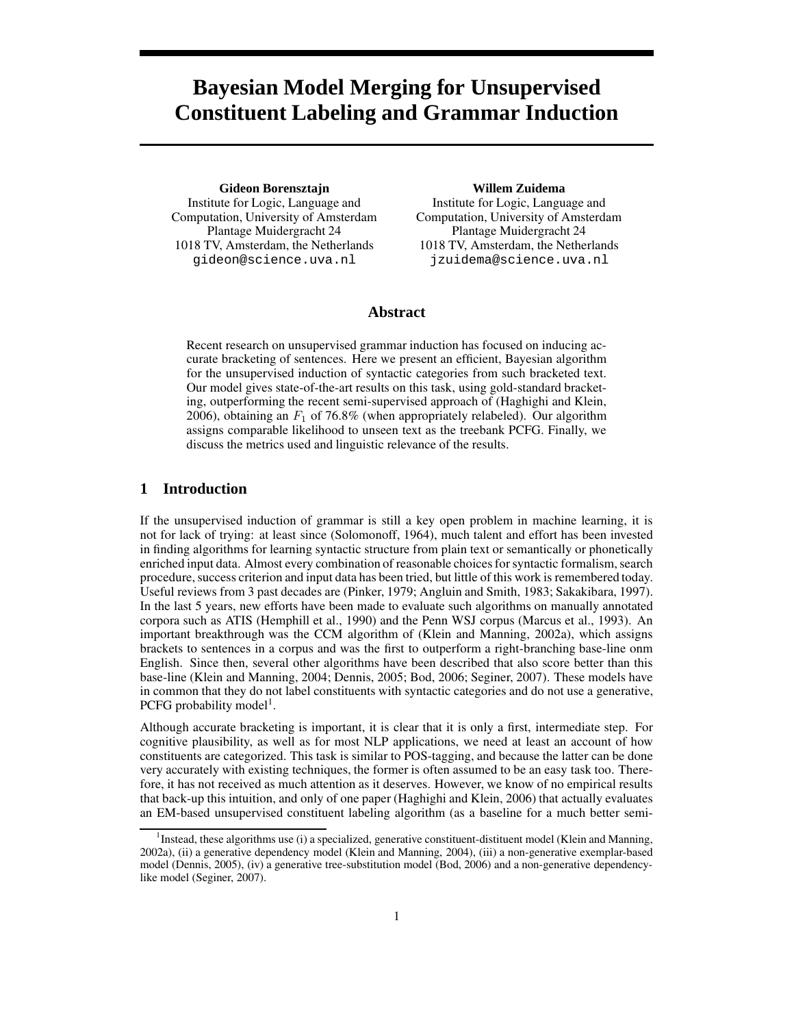# **Bayesian Model Merging for Unsupervised Constituent Labeling and Grammar Induction**

**Gideon Borensztajn** Institute for Logic, Language and Computation, University of Amsterdam Plantage Muidergracht 24 1018 TV, Amsterdam, the Netherlands gideon@science.uva.nl

#### **Willem Zuidema**

Institute for Logic, Language and Computation, University of Amsterdam Plantage Muidergracht 24 1018 TV, Amsterdam, the Netherlands jzuidema@science.uva.nl

## **Abstract**

Recent research on unsupervised grammar induction has focused on inducing accurate bracketing of sentences. Here we present an efficient, Bayesian algorithm for the unsupervised induction of syntactic categories from such bracketed text. Our model gives state-of-the-art results on this task, using gold-standard bracketing, outperforming the recent semi-supervised approach of (Haghighi and Klein, 2006), obtaining an  $F_1$  of 76.8% (when appropriately relabeled). Our algorithm assigns comparable likelihood to unseen text as the treebank PCFG. Finally, we discuss the metrics used and linguistic relevance of the results.

## **1 Introduction**

If the unsupervised induction of grammar is still a key open problem in machine learning, it is not for lack of trying: at least since (Solomonoff, 1964), much talent and effort has been invested in finding algorithms for learning syntactic structure from plain text or semantically or phonetically enriched input data. Almost every combination of reasonable choices for syntactic formalism, search procedure, success criterion and input data has been tried, but little of this work is remembered today. Useful reviews from 3 past decades are (Pinker, 1979; Angluin and Smith, 1983; Sakakibara, 1997). In the last 5 years, new efforts have been made to evaluate such algorithms on manually annotated corpora such as ATIS (Hemphill et al., 1990) and the Penn WSJ corpus (Marcus et al., 1993). An important breakthrough was the CCM algorithm of (Klein and Manning, 2002a), which assigns brackets to sentences in a corpus and was the first to outperform a right-branching base-line onm English. Since then, several other algorithms have been described that also score better than this base-line (Klein and Manning, 2004; Dennis, 2005; Bod, 2006; Seginer, 2007). These models have in common that they do not label constituents with syntactic categories and do not use a generative, PCFG probability model<sup>1</sup>.

Although accurate bracketing is important, it is clear that it is only a first, intermediate step. For cognitive plausibility, as well as for most NLP applications, we need at least an account of how constituents are categorized. This task is similar to POS-tagging, and because the latter can be done very accurately with existing techniques, the former is often assumed to be an easy task too. Therefore, it has not received as much attention as it deserves. However, we know of no empirical results that back-up this intuition, and only of one paper (Haghighi and Klein, 2006) that actually evaluates an EM-based unsupervised constituent labeling algorithm (as a baseline for a much better semi-

<sup>&</sup>lt;sup>1</sup>Instead, these algorithms use (i) a specialized, generative constituent-distituent model (Klein and Manning, 2002a), (ii) a generative dependency model (Klein and Manning, 2004), (iii) a non-generative exemplar-based model (Dennis, 2005), (iv) a generative tree-substitution model (Bod, 2006) and a non-generative dependencylike model (Seginer, 2007).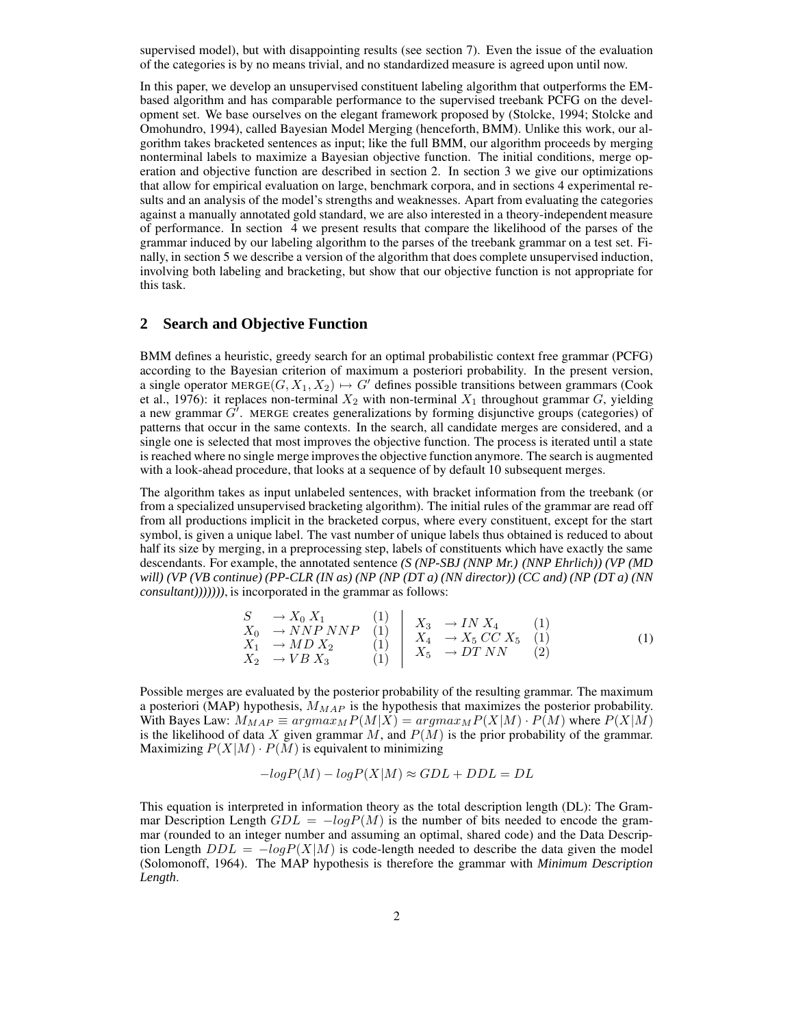supervised model), but with disappointing results (see section 7). Even the issue of the evaluation of the categories is by no means trivial, and no standardized measure is agreed upon until now.

In this paper, we develop an unsupervised constituent labeling algorithm that outperforms the EMbased algorithm and has comparable performance to the supervised treebank PCFG on the development set. We base ourselves on the elegant framework proposed by (Stolcke, 1994; Stolcke and Omohundro, 1994), called Bayesian Model Merging (henceforth, BMM). Unlike this work, our algorithm takes bracketed sentences as input; like the full BMM, our algorithm proceeds by merging nonterminal labels to maximize a Bayesian objective function. The initial conditions, merge operation and objective function are described in section 2. In section 3 we give our optimizations that allow for empirical evaluation on large, benchmark corpora, and in sections 4 experimental results and an analysis of the model's strengths and weaknesses. Apart from evaluating the categories against a manually annotated gold standard, we are also interested in a theory-independent measure of performance. In section 4 we present results that compare the likelihood of the parses of the grammar induced by our labeling algorithm to the parses of the treebank grammar on a test set. Finally, in section 5 we describe a version of the algorithm that does complete unsupervised induction, involving both labeling and bracketing, but show that our objective function is not appropriate for this task.

# **2 Search and Objective Function**

BMM defines a heuristic, greedy search for an optimal probabilistic context free grammar (PCFG) according to the Bayesian criterion of maximum a posteriori probability. In the present version, a single operator MERGE $(G, X_1, X_2) \mapsto G'$  defines possible transitions between grammars (Cook et al., 1976): it replaces non-terminal  $X_2$  with non-terminal  $X_1$  throughout grammar G, yielding a new grammar  $G'$ . MERGE creates generalizations by forming disjunctive groups (categories) of patterns that occur in the same contexts. In the search, all candidate merges are considered, and a single one is selected that most improves the objective function. The process is iterated until a state is reached where no single merge improvesthe objective function anymore. The search is augmented with a look-ahead procedure, that looks at a sequence of by default 10 subsequent merges.

The algorithm takes as input unlabeled sentences, with bracket information from the treebank (or from a specialized unsupervised bracketing algorithm). The initial rules of the grammar are read off from all productions implicit in the bracketed corpus, where every constituent, except for the start symbol, is given a unique label. The vast number of unique labels thus obtained is reduced to about half its size by merging, in a preprocessing step, labels of constituents which have exactly the same descendants. For example, the annotated sentence *(S (NP-SBJ (NNP Mr.) (NNP Ehrlich)) (VP (MD* will) (VP (VB continue) (PP-CLR (IN as) (NP (NP (DT a) (NN director)) (CC and) (NP (DT a) (NN *consultant)))))))*, is incorporated in the grammar as follows:

$$
\begin{array}{ccc}\nS & \rightarrow X_0 X_1 & (1) \\
X_0 & \rightarrow NNP NNP & (1) \\
X_1 & \rightarrow MD X_2 & (1) \\
X_2 & \rightarrow V B X_3 & (1)\n\end{array}\n\begin{array}{ccc}\nX_3 & \rightarrow IN X_4 & (1) \\
X_4 & \rightarrow X_5 CC X_5 & (1) \\
X_5 & \rightarrow DT N N & (2)\n\end{array}
$$
\n(1)

Possible merges are evaluated by the posterior probability of the resulting grammar. The maximum a posteriori (MAP) hypothesis,  $M_{MAP}$  is the hypothesis that maximizes the posterior probability. With Bayes Law:  $M_{MAP} \equiv argmax_{M} P(M|\vec{X}) = argmax_{M} P(X|M) \cdot P(M)$  where  $P(X|\vec{M})$ is the likelihood of data X given grammar  $M$ , and  $P(M)$  is the prior probability of the grammar. Maximizing  $P(X|M) \cdot P(M)$  is equivalent to minimizing

$$
-logP(M) - logP(X|M) \approx GDL + DDL = DL
$$

This equation is interpreted in information theory as the total description length (DL): The Grammar Description Length  $GDL = -logP(M)$  is the number of bits needed to encode the grammar (rounded to an integer number and assuming an optimal, shared code) and the Data Description Length  $DDL = -logP(X|M)$  is code-length needed to describe the data given the model (Solomonoff, 1964). The MAP hypothesis is therefore the grammar with *Minimum Description Length*.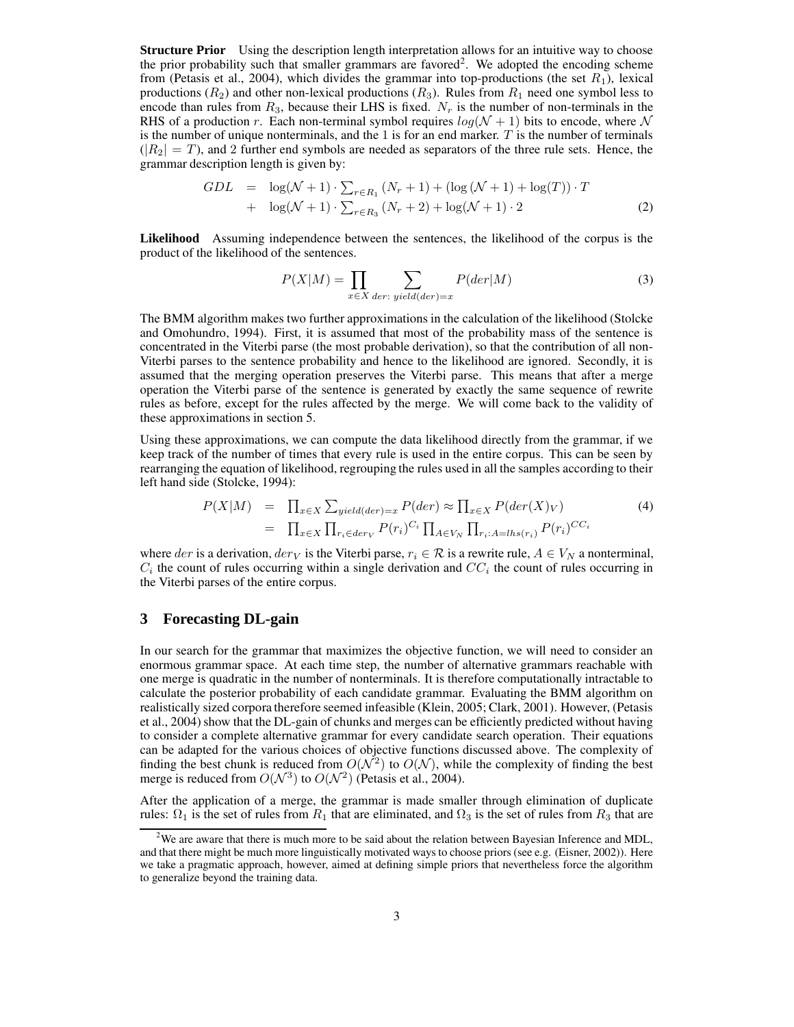**Structure Prior** Using the description length interpretation allows for an intuitive way to choose the prior probability such that smaller grammars are favored<sup>2</sup>. We adopted the encoding scheme from (Petasis et al., 2004), which divides the grammar into top-productions (the set  $R_1$ ), lexical productions ( $R_2$ ) and other non-lexical productions ( $R_3$ ). Rules from  $R_1$  need one symbol less to encode than rules from  $R_3$ , because their LHS is fixed.  $N_r$  is the number of non-terminals in the RHS of a production r. Each non-terminal symbol requires  $log(N + 1)$  bits to encode, where N is the number of unique nonterminals, and the 1 is for an end marker. T is the number of terminals  $(|R_2| = T)$ , and 2 further end symbols are needed as separators of the three rule sets. Hence, the grammar description length is given by:

$$
GDL = \log(\mathcal{N} + 1) \cdot \sum_{r \in R_1} (N_r + 1) + (\log(\mathcal{N} + 1) + \log(T)) \cdot T
$$
  
+ 
$$
\log(\mathcal{N} + 1) \cdot \sum_{r \in R_3} (N_r + 2) + \log(\mathcal{N} + 1) \cdot 2
$$
 (2)

**Likelihood** Assuming independence between the sentences, the likelihood of the corpus is the product of the likelihood of the sentences.

$$
P(X|M) = \prod_{x \in X} \sum_{der: yield(der) = x} P(der|M)
$$
 (3)

The BMM algorithm makes two further approximations in the calculation of the likelihood (Stolcke and Omohundro, 1994). First, it is assumed that most of the probability mass of the sentence is concentrated in the Viterbi parse (the most probable derivation), so that the contribution of all non-Viterbi parses to the sentence probability and hence to the likelihood are ignored. Secondly, it is assumed that the merging operation preserves the Viterbi parse. This means that after a merge operation the Viterbi parse of the sentence is generated by exactly the same sequence of rewrite rules as before, except for the rules affected by the merge. We will come back to the validity of these approximations in section 5.

Using these approximations, we can compute the data likelihood directly from the grammar, if we keep track of the number of times that every rule is used in the entire corpus. This can be seen by rearranging the equation of likelihood, regrouping the rules used in all the samples according to their left hand side (Stolcke, 1994):

$$
P(X|M) = \prod_{x \in X} \sum_{yield (der) = x} P(der) \approx \prod_{x \in X} P(der(X)_V)
$$
  
= 
$$
\prod_{x \in X} \prod_{r_i \in der_V} P(r_i)^{C_i} \prod_{A \in V_N} \prod_{r_i : A = lhs(r_i)} P(r_i)^{CC_i}
$$
 (4)

where der is a derivation, der<sub>V</sub> is the Viterbi parse,  $r_i \in \mathcal{R}$  is a rewrite rule,  $A \in V_N$  a nonterminal,  $C_i$  the count of rules occurring within a single derivation and  $CC_i$  the count of rules occurring in the Viterbi parses of the entire corpus.

# **3 Forecasting DL-gain**

In our search for the grammar that maximizes the objective function, we will need to consider an enormous grammar space. At each time step, the number of alternative grammars reachable with one merge is quadratic in the number of nonterminals. It is therefore computationally intractable to calculate the posterior probability of each candidate grammar. Evaluating the BMM algorithm on realistically sized corpora therefore seemed infeasible (Klein, 2005; Clark, 2001). However, (Petasis et al., 2004) show that the DL-gain of chunks and merges can be efficiently predicted without having to consider a complete alternative grammar for every candidate search operation. Their equations can be adapted for the various choices of objective functions discussed above. The complexity of finding the best chunk is reduced from  $O(N^2)$  to  $O(N)$ , while the complexity of finding the best merge is reduced from  $O(N^3)$  to  $O(N^2)$  (Petasis et al., 2004).

After the application of a merge, the grammar is made smaller through elimination of duplicate rules:  $\Omega_1$  is the set of rules from  $R_1$  that are eliminated, and  $\Omega_3$  is the set of rules from  $R_3$  that are

<sup>&</sup>lt;sup>2</sup>We are aware that there is much more to be said about the relation between Bayesian Inference and MDL, and that there might be much more linguistically motivated ways to choose priors (see e.g. (Eisner, 2002)). Here we take a pragmatic approach, however, aimed at defining simple priors that nevertheless force the algorithm to generalize beyond the training data.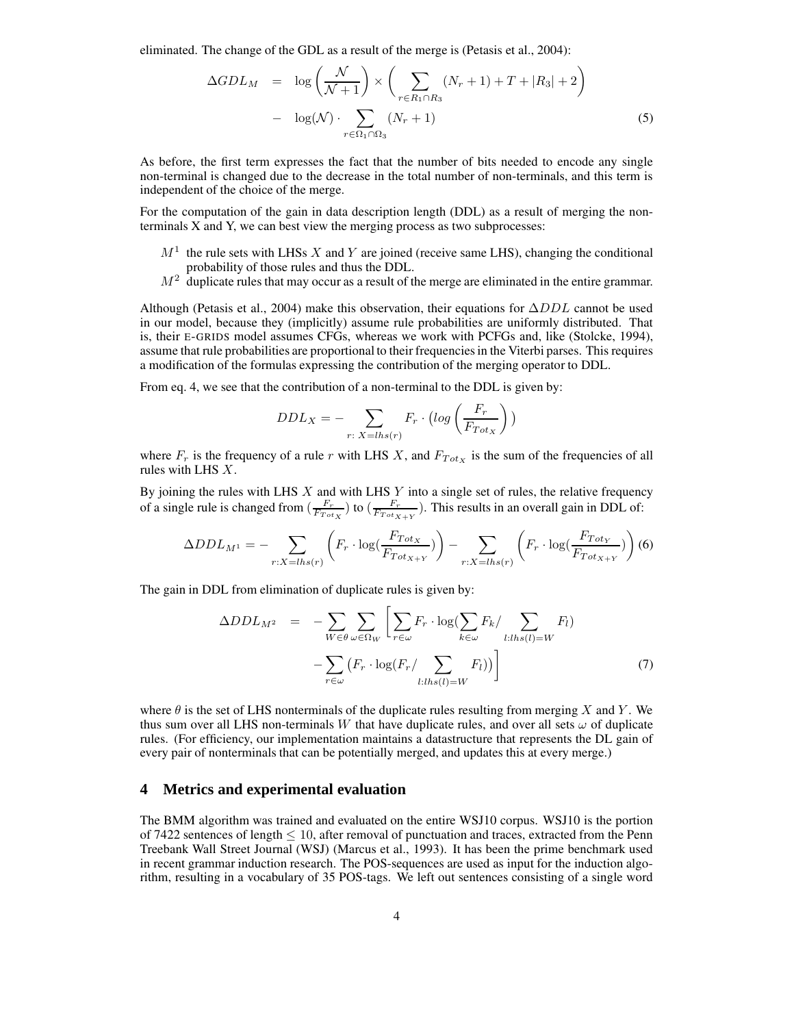eliminated. The change of the GDL as a result of the merge is (Petasis et al., 2004):

$$
\Delta GDL_M = \log\left(\frac{\mathcal{N}}{\mathcal{N}+1}\right) \times \left(\sum_{r \in R_1 \cap R_3} (N_r + 1) + T + |R_3| + 2\right)
$$

$$
- \log(\mathcal{N}) \cdot \sum_{r \in \Omega_1 \cap \Omega_3} (N_r + 1) \tag{5}
$$

As before, the first term expresses the fact that the number of bits needed to encode any single non-terminal is changed due to the decrease in the total number of non-terminals, and this term is independent of the choice of the merge.

For the computation of the gain in data description length (DDL) as a result of merging the nonterminals X and Y, we can best view the merging process as two subprocesses:

- $M<sup>1</sup>$  the rule sets with LHSs X and Y are joined (receive same LHS), changing the conditional probability of those rules and thus the DDL.
- $M<sup>2</sup>$  duplicate rules that may occur as a result of the merge are eliminated in the entire grammar.

Although (Petasis et al., 2004) make this observation, their equations for  $\Delta DDL$  cannot be used in our model, because they (implicitly) assume rule probabilities are uniformly distributed. That is, their E-GRIDS model assumes CFGs, whereas we work with PCFGs and, like (Stolcke, 1994), assume that rule probabilities are proportional to their frequenciesin the Viterbi parses. This requires a modification of the formulas expressing the contribution of the merging operator to DDL.

From eq. 4, we see that the contribution of a non-terminal to the DDL is given by:

$$
DDL_X = -\sum_{r: \ X = lhs(r)} F_r \cdot \left( \log \left( \frac{F_r}{F_{Tot_X}} \right) \right)
$$

where  $F_r$  is the frequency of a rule r with LHS X, and  $F_{Tot_X}$  is the sum of the frequencies of all rules with LHS X.

By joining the rules with LHS  $X$  and with LHS  $Y$  into a single set of rules, the relative frequency of a single rule is changed from  $\left(\frac{F_r}{F_{Tot_X}}\right)$  to  $\left(\frac{F_r}{F_{Tot_X+Y}}\right)$ . This results in an overall gain in DDL of:

$$
\Delta DDL_{M^1} = -\sum_{r:X=lhs(r)} \left( F_r \cdot \log(\frac{F_{TotX}}{F_{TotX+Y}}) \right) - \sum_{r:X=lhs(r)} \left( F_r \cdot \log(\frac{F_{TotX}}{F_{TotX+Y}}) \right) (6)
$$

The gain in DDL from elimination of duplicate rules is given by:

$$
\Delta DDL_{M^2} = -\sum_{W \in \theta} \sum_{\omega \in \Omega_W} \left[ \sum_{r \in \omega} F_r \cdot \log(\sum_{k \in \omega} F_k / \sum_{l: lhs(l) = W} F_l) - \sum_{r \in \omega} \left( F_r \cdot \log(F_r / \sum_{l: lhs(l) = W} F_l) \right) \right]
$$
(7)

where  $\theta$  is the set of LHS nonterminals of the duplicate rules resulting from merging X and Y. We thus sum over all LHS non-terminals W that have duplicate rules, and over all sets  $\omega$  of duplicate rules. (For efficiency, our implementation maintains a datastructure that represents the DL gain of every pair of nonterminals that can be potentially merged, and updates this at every merge.)

### **4 Metrics and experimental evaluation**

The BMM algorithm was trained and evaluated on the entire WSJ10 corpus. WSJ10 is the portion of 7422 sentences of length  $\leq 10$ , after removal of punctuation and traces, extracted from the Penn Treebank Wall Street Journal (WSJ) (Marcus et al., 1993). It has been the prime benchmark used in recent grammar induction research. The POS-sequences are used as input for the induction algorithm, resulting in a vocabulary of 35 POS-tags. We left out sentences consisting of a single word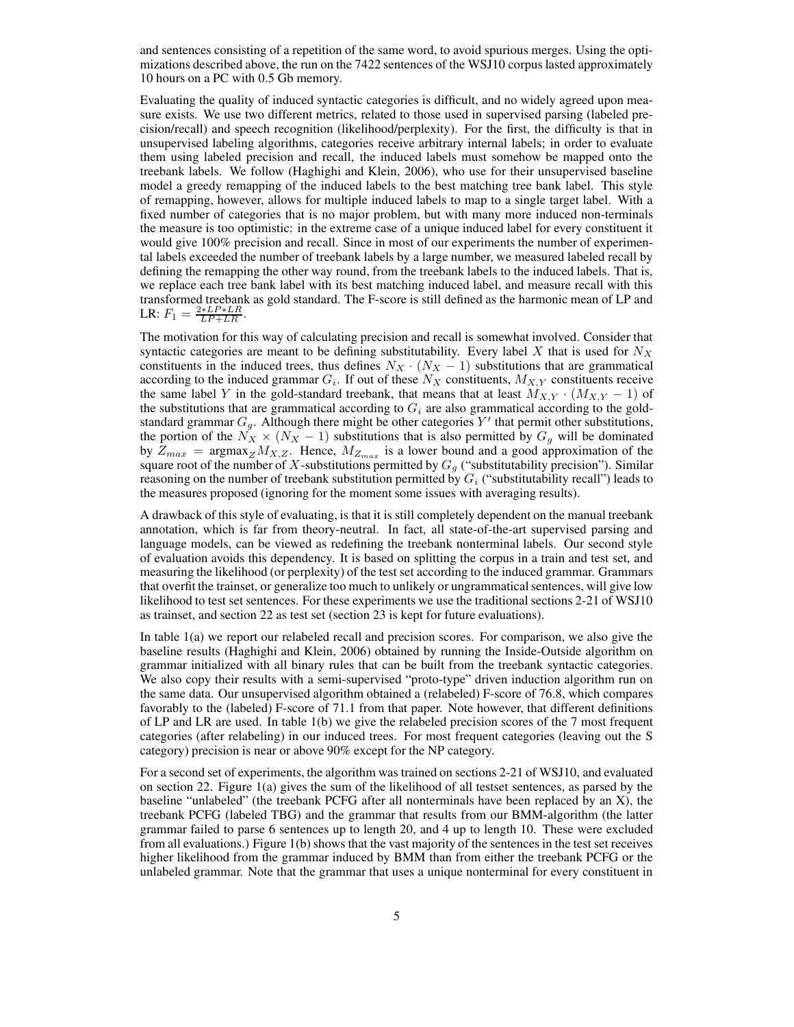and sentences consisting of a repetition of the same word, to avoid spurious merges. Using the optimizations described above, the run on the 7422 sentences of the WSJ10 corpus lasted approximately 10 hours on a PC with 0.5 Gb memory.

Evaluating the quality of induced syntactic categories is difficult, and no widely agreed upon measure exists. We use two different metrics, related to those used in supervised parsing (labeled precision/recall) and speech recognition (likelihood/perplexity). For the first, the difficulty is that in unsupervised labeling algorithms, categories receive arbitrary internal labels; in order to evaluate them using labeled precision and recall, the induced labels must somehow be mapped onto the treebank labels. We follow (Haghighi and Klein, 2006), who use for their unsupervised baseline model a greedy remapping of the induced labels to the best matching tree bank label. This style of remapping, however, allows for multiple induced labels to map to a single target label. With a fixed number of categories that is no major problem, but with many more induced non-terminals the measure is too optimistic: in the extreme case of a unique induced label for every constituent it would give 100% precision and recall. Since in most of our experiments the number of experimental labels exceeded the number of treebank labels by a large number, we measured labeled recall by defining the remapping the other way round, from the treebank labels to the induced labels. That is, we replace each tree bank label with its best matching induced label, and measure recall with this transformed treebank as gold standard. The F-score is still defined as the harmonic mean of LP and LR:  $F_1 = \frac{2 * LP * LR}{LP + LR}$ .

The motivation for this way of calculating precision and recall is somewhat involved. Consider that syntactic categories are meant to be defining substitutability. Every label X that is used for  $N_X$ constituents in the induced trees, thus defines  $N_X \cdot (N_X - 1)$  substitutions that are grammatical according to the induced grammar  $G_i$ . If out of these  $N_X$  constituents,  $M_{X,Y}$  constituents receive the same label Y in the gold-standard treebank, that means that at least  $M_{X,Y} \cdot (M_{X,Y} - 1)$  of the substitutions that are grammatical according to  $G_i$  are also grammatical according to the goldstandard grammar  $G_g$ . Although there might be other categories Y' that permit other substitutions, the portion of the  $N_X \times (N_X - 1)$  substitutions that is also permitted by  $G_g$  will be dominated by  $Z_{max}$  = argmax $_Z M_{X,Z}$ . Hence,  $M_{Z_{max}}$  is a lower bound and a good approximation of the square root of the number of X-substitutions permitted by  $G_g$  ("substitutability precision"). Similar reasoning on the number of treebank substitution permitted by  $G_i$  ("substitutability recall") leads to the measures proposed (ignoring for the moment some issues with averaging results).

A drawback of this style of evaluating, is that it is still completely dependent on the manual treebank annotation, which is far from theory-neutral. In fact, all state-of-the-art supervised parsing and language models, can be viewed as redefining the treebank nonterminal labels. Our second style of evaluation avoids this dependency. It is based on splitting the corpus in a train and test set, and measuring the likelihood (or perplexity) of the test set according to the induced grammar. Grammars that overfit the trainset, or generalize too much to unlikely or ungrammaticalsentences, will give low likelihood to test set sentences. For these experiments we use the traditional sections 2-21 of WSJ10 as trainset, and section 22 as test set (section 23 is kept for future evaluations).

In table 1(a) we report our relabeled recall and precision scores. For comparison, we also give the baseline results (Haghighi and Klein, 2006) obtained by running the Inside-Outside algorithm on grammar initialized with all binary rules that can be built from the treebank syntactic categories. We also copy their results with a semi-supervised "proto-type" driven induction algorithm run on the same data. Our unsupervised algorithm obtained a (relabeled) F-score of 76.8, which compares favorably to the (labeled) F-score of 71.1 from that paper. Note however, that different definitions of LP and LR are used. In table 1(b) we give the relabeled precision scores of the 7 most frequent categories (after relabeling) in our induced trees. For most frequent categories (leaving out the S category) precision is near or above 90% except for the NP category.

For a second set of experiments, the algorithm was trained on sections 2-21 of WSJ10, and evaluated on section 22. Figure 1(a) gives the sum of the likelihood of all testset sentences, as parsed by the baseline "unlabeled" (the treebank PCFG after all nonterminals have been replaced by an X), the treebank PCFG (labeled TBG) and the grammar that results from our BMM-algorithm (the latter grammar failed to parse 6 sentences up to length 20, and 4 up to length 10. These were excluded from all evaluations.) Figure 1(b) shows that the vast majority of the sentences in the test set receives higher likelihood from the grammar induced by BMM than from either the treebank PCFG or the unlabeled grammar. Note that the grammar that uses a unique nonterminal for every constituent in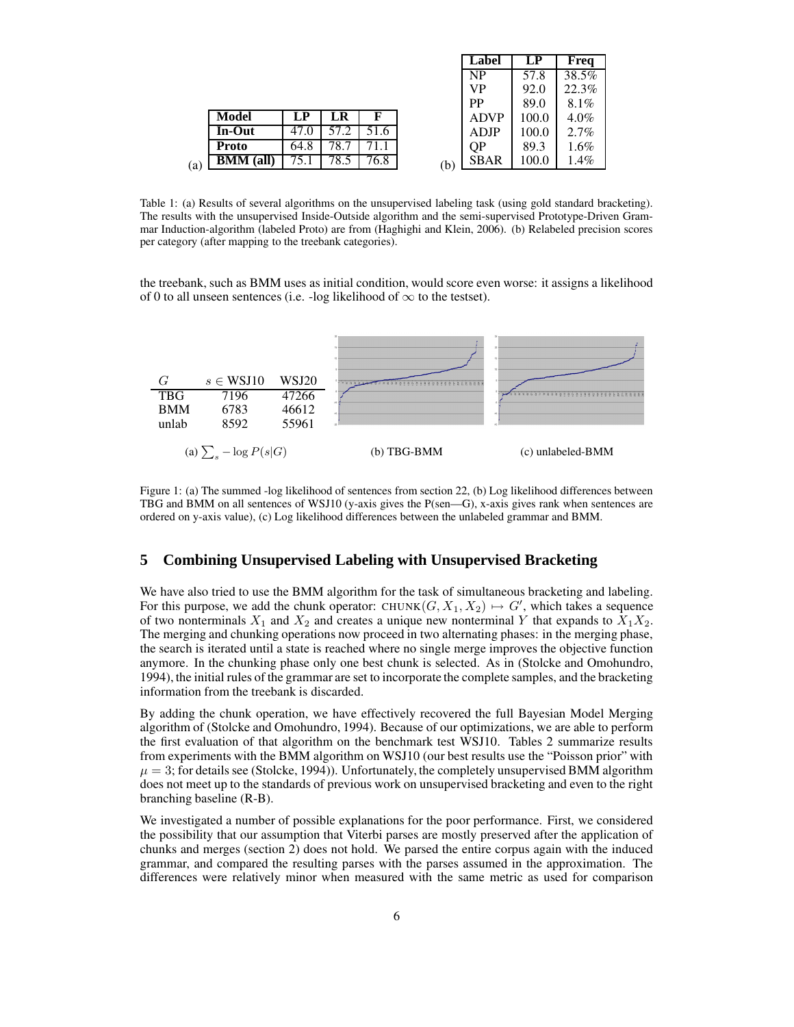|     |                  |      |      |      |     | Label       | LP    | Freq    |
|-----|------------------|------|------|------|-----|-------------|-------|---------|
|     |                  |      |      |      |     | NP          | 57.8  | 38.5%   |
|     |                  |      |      |      |     | VP          | 92.0  | 22.3%   |
|     |                  |      |      |      |     | PP          | 89.0  | 8.1%    |
|     | Model            | LP   | LR   | F    |     | <b>ADVP</b> | 100.0 | $4.0\%$ |
|     | In-Out           | 47.0 | 57.2 | 51.6 |     | ADJP        | 100.0 | $2.7\%$ |
|     | <b>Proto</b>     | 64.8 | 78.7 | ′1.1 |     | QP          | 89.3  | $1.6\%$ |
| (a) | <b>BMM</b> (all) | 75.1 | 78.5 | 76.8 | (b) | <b>SBAR</b> | 100.0 | 1.4%    |

Table 1: (a) Results of several algorithms on the unsupervised labeling task (using gold standard bracketing). The results with the unsupervised Inside-Outside algorithm and the semi-supervised Prototype-Driven Grammar Induction-algorithm (labeled Proto) are from (Haghighi and Klein, 2006). (b) Relabeled precision scores per category (after mapping to the treebank categories).

the treebank, such as BMM uses as initial condition, would score even worse: it assigns a likelihood of 0 to all unseen sentences (i.e. -log likelihood of  $\infty$  to the testset).



Figure 1: (a) The summed -log likelihood of sentences from section 22, (b) Log likelihood differences between TBG and BMM on all sentences of WSJ10 (y-axis gives the P(sen—G), x-axis gives rank when sentences are ordered on y-axis value), (c) Log likelihood differences between the unlabeled grammar and BMM.

# **5 Combining Unsupervised Labeling with Unsupervised Bracketing**

We have also tried to use the BMM algorithm for the task of simultaneous bracketing and labeling. For this purpose, we add the chunk operator: CHUNK $(G, X_1, X_2) \mapsto G'$ , which takes a sequence of two nonterminals  $X_1$  and  $X_2$  and creates a unique new nonterminal Y that expands to  $X_1X_2$ . The merging and chunking operations now proceed in two alternating phases: in the merging phase, the search is iterated until a state is reached where no single merge improves the objective function anymore. In the chunking phase only one best chunk is selected. As in (Stolcke and Omohundro, 1994), the initial rules of the grammar are set to incorporate the complete samples, and the bracketing information from the treebank is discarded.

By adding the chunk operation, we have effectively recovered the full Bayesian Model Merging algorithm of (Stolcke and Omohundro, 1994). Because of our optimizations, we are able to perform the first evaluation of that algorithm on the benchmark test WSJ10. Tables 2 summarize results from experiments with the BMM algorithm on WSJ10 (our best results use the "Poisson prior" with  $\mu = 3$ ; for details see (Stolcke, 1994)). Unfortunately, the completely unsupervised BMM algorithm does not meet up to the standards of previous work on unsupervised bracketing and even to the right branching baseline (R-B).

We investigated a number of possible explanations for the poor performance. First, we considered the possibility that our assumption that Viterbi parses are mostly preserved after the application of chunks and merges (section 2) does not hold. We parsed the entire corpus again with the induced grammar, and compared the resulting parses with the parses assumed in the approximation. The differences were relatively minor when measured with the same metric as used for comparison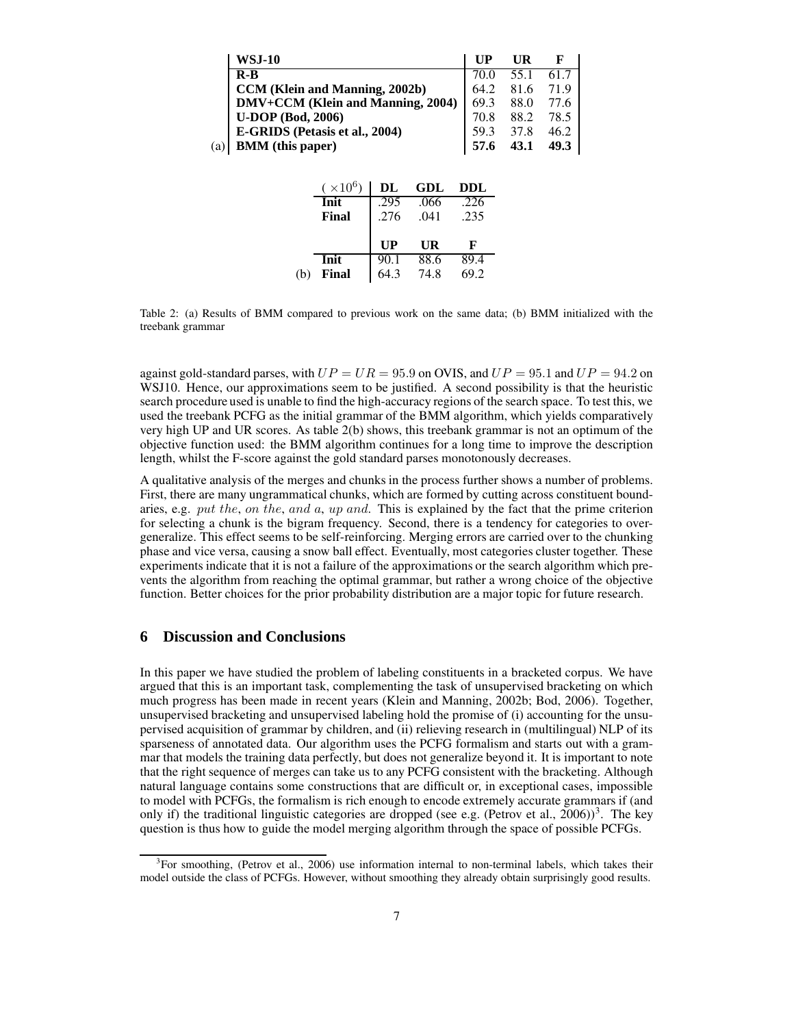| WSJ-10                            |      | UR   |      |
|-----------------------------------|------|------|------|
| $R - R$                           | 70 O | 55.1 | 61.7 |
| CCM (Klein and Manning, 2002b)    | 64.2 | 81.6 | 71.9 |
| DMV+CCM (Klein and Manning, 2004) | 69.3 | 88.0 | 77.6 |
| <b>U-DOP</b> (Bod, 2006)          | 70.8 | 88.2 | 78.5 |
| E-GRIDS (Petasis et al., 2004)    | 59.3 | 37.8 | 46.2 |
| <b>BMM</b> (this paper)<br>(a)    | 57.6 | 43.1 | 49.3 |

| $(\times 10^6)$ | DL                                 | GDL               | <b>DDL</b> |  |
|-----------------|------------------------------------|-------------------|------------|--|
| Init            | .295                               | .066              | .226       |  |
| Final           | .276                               | .041              | .235       |  |
|                 |                                    |                   |            |  |
|                 | $\mathbf{I} \mathbf{I} \mathbf{P}$ | UR                | F          |  |
|                 |                                    |                   |            |  |
| Init            | 90.1                               | $\overline{88.6}$ | 89.4       |  |

Table 2: (a) Results of BMM compared to previous work on the same data; (b) BMM initialized with the treebank grammar

against gold-standard parses, with  $UP = UR = 95.9$  on OVIS, and  $UP = 95.1$  and  $UP = 94.2$  on WSJ10. Hence, our approximations seem to be justified. A second possibility is that the heuristic search procedure used is unable to find the high-accuracy regions of the search space. To test this, we used the treebank PCFG as the initial grammar of the BMM algorithm, which yields comparatively very high UP and UR scores. As table 2(b) shows, this treebank grammar is not an optimum of the objective function used: the BMM algorithm continues for a long time to improve the description length, whilst the F-score against the gold standard parses monotonously decreases.

A qualitative analysis of the merges and chunks in the process further shows a number of problems. First, there are many ungrammatical chunks, which are formed by cutting across constituent boundaries, e.g. put the, on the, and a, up and. This is explained by the fact that the prime criterion for selecting a chunk is the bigram frequency. Second, there is a tendency for categories to overgeneralize. This effect seems to be self-reinforcing. Merging errors are carried over to the chunking phase and vice versa, causing a snow ball effect. Eventually, most categories cluster together. These experiments indicate that it is not a failure of the approximations or the search algorithm which prevents the algorithm from reaching the optimal grammar, but rather a wrong choice of the objective function. Better choices for the prior probability distribution are a major topic for future research.

# **6 Discussion and Conclusions**

In this paper we have studied the problem of labeling constituents in a bracketed corpus. We have argued that this is an important task, complementing the task of unsupervised bracketing on which much progress has been made in recent years (Klein and Manning, 2002b; Bod, 2006). Together, unsupervised bracketing and unsupervised labeling hold the promise of (i) accounting for the unsupervised acquisition of grammar by children, and (ii) relieving research in (multilingual) NLP of its sparseness of annotated data. Our algorithm uses the PCFG formalism and starts out with a grammar that models the training data perfectly, but does not generalize beyond it. It is important to note that the right sequence of merges can take us to any PCFG consistent with the bracketing. Although natural language contains some constructions that are difficult or, in exceptional cases, impossible to model with PCFGs, the formalism is rich enough to encode extremely accurate grammars if (and only if) the traditional linguistic categories are dropped (see e.g. (Petrov et al.,  $2006$ ))<sup>3</sup>. The key question is thus how to guide the model merging algorithm through the space of possible PCFGs.

<sup>&</sup>lt;sup>3</sup>For smoothing, (Petrov et al., 2006) use information internal to non-terminal labels, which takes their model outside the class of PCFGs. However, without smoothing they already obtain surprisingly good results.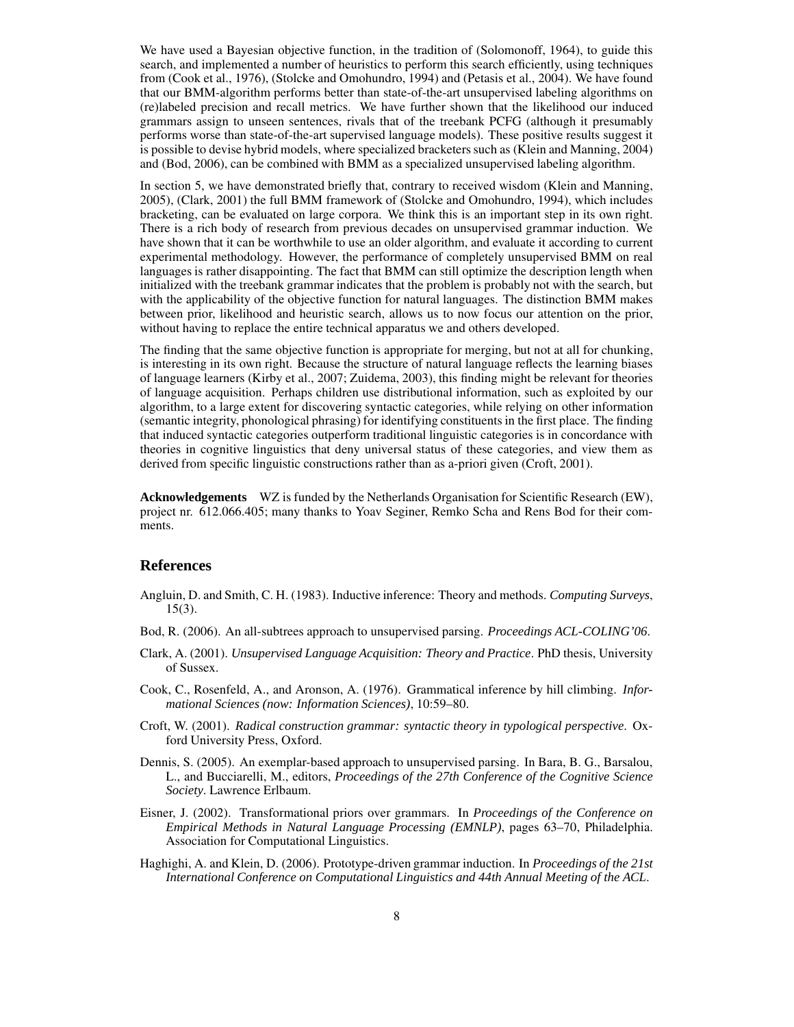We have used a Bayesian objective function, in the tradition of (Solomonoff, 1964), to guide this search, and implemented a number of heuristics to perform this search efficiently, using techniques from (Cook et al., 1976), (Stolcke and Omohundro, 1994) and (Petasis et al., 2004). We have found that our BMM-algorithm performs better than state-of-the-art unsupervised labeling algorithms on (re)labeled precision and recall metrics. We have further shown that the likelihood our induced grammars assign to unseen sentences, rivals that of the treebank PCFG (although it presumably performs worse than state-of-the-art supervised language models). These positive results suggest it is possible to devise hybrid models, where specialized bracketers such as (Klein and Manning, 2004) and (Bod, 2006), can be combined with BMM as a specialized unsupervised labeling algorithm.

In section 5, we have demonstrated briefly that, contrary to received wisdom (Klein and Manning, 2005), (Clark, 2001) the full BMM framework of (Stolcke and Omohundro, 1994), which includes bracketing, can be evaluated on large corpora. We think this is an important step in its own right. There is a rich body of research from previous decades on unsupervised grammar induction. We have shown that it can be worthwhile to use an older algorithm, and evaluate it according to current experimental methodology. However, the performance of completely unsupervised BMM on real languages is rather disappointing. The fact that BMM can still optimize the description length when initialized with the treebank grammar indicates that the problem is probably not with the search, but with the applicability of the objective function for natural languages. The distinction BMM makes between prior, likelihood and heuristic search, allows us to now focus our attention on the prior, without having to replace the entire technical apparatus we and others developed.

The finding that the same objective function is appropriate for merging, but not at all for chunking, is interesting in its own right. Because the structure of natural language reflects the learning biases of language learners (Kirby et al., 2007; Zuidema, 2003), this finding might be relevant for theories of language acquisition. Perhaps children use distributional information, such as exploited by our algorithm, to a large extent for discovering syntactic categories, while relying on other information (semantic integrity, phonological phrasing) for identifying constituents in the first place. The finding that induced syntactic categories outperform traditional linguistic categories is in concordance with theories in cognitive linguistics that deny universal status of these categories, and view them as derived from specific linguistic constructions rather than as a-priori given (Croft, 2001).

**Acknowledgements** WZ is funded by the Netherlands Organisation for Scientific Research (EW), project nr. 612.066.405; many thanks to Yoav Seginer, Remko Scha and Rens Bod for their comments.

### **References**

- Angluin, D. and Smith, C. H. (1983). Inductive inference: Theory and methods. *Computing Surveys*, 15(3).
- Bod, R. (2006). An all-subtrees approach to unsupervised parsing. *Proceedings ACL-COLING'06*.
- Clark, A. (2001). *Unsupervised Language Acquisition: Theory and Practice*. PhD thesis, University of Sussex.
- Cook, C., Rosenfeld, A., and Aronson, A. (1976). Grammatical inference by hill climbing. *Informational Sciences (now: Information Sciences)*, 10:59–80.
- Croft, W. (2001). *Radical construction grammar: syntactic theory in typological perspective*. Oxford University Press, Oxford.
- Dennis, S. (2005). An exemplar-based approach to unsupervised parsing. In Bara, B. G., Barsalou, L., and Bucciarelli, M., editors, *Proceedings of the 27th Conference of the Cognitive Science Society*. Lawrence Erlbaum.
- Eisner, J. (2002). Transformational priors over grammars. In *Proceedings of the Conference on Empirical Methods in Natural Language Processing (EMNLP)*, pages 63–70, Philadelphia. Association for Computational Linguistics.
- Haghighi, A. and Klein, D. (2006). Prototype-driven grammar induction. In *Proceedings of the 21st International Conference on Computational Linguistics and 44th Annual Meeting of the ACL*.